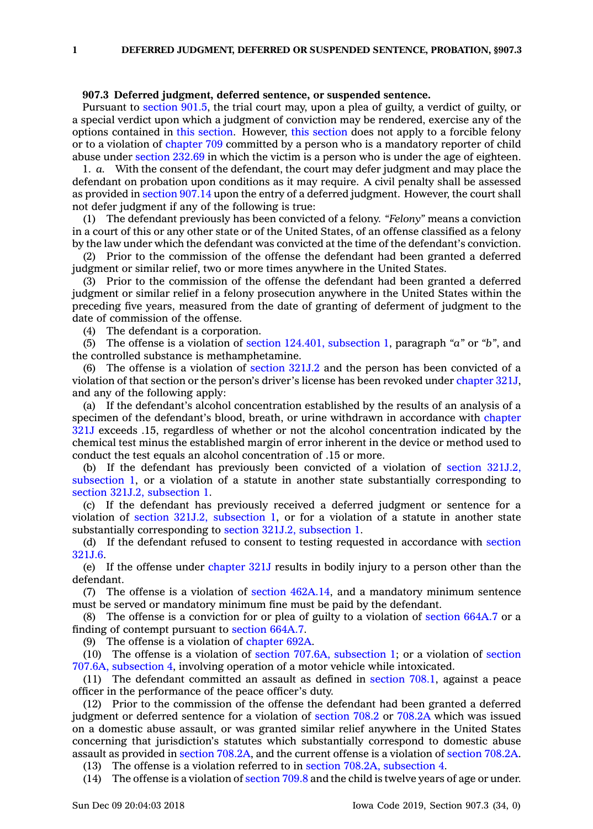## **907.3 Deferred judgment, deferred sentence, or suspended sentence.**

Pursuant to [section](https://www.legis.iowa.gov/docs/code/901.5.pdf) 901.5, the trial court may, upon <sup>a</sup> plea of guilty, <sup>a</sup> verdict of guilty, or <sup>a</sup> special verdict upon which <sup>a</sup> judgment of conviction may be rendered, exercise any of the options contained in this [section](https://www.legis.iowa.gov/docs/code/907.3.pdf). However, this [section](https://www.legis.iowa.gov/docs/code/907.3.pdf) does not apply to <sup>a</sup> forcible felony or to <sup>a</sup> violation of [chapter](https://www.legis.iowa.gov/docs/code//709.pdf) 709 committed by <sup>a</sup> person who is <sup>a</sup> mandatory reporter of child abuse under [section](https://www.legis.iowa.gov/docs/code/232.69.pdf) 232.69 in which the victim is <sup>a</sup> person who is under the age of eighteen.

1. *a.* With the consent of the defendant, the court may defer judgment and may place the defendant on probation upon conditions as it may require. A civil penalty shall be assessed as provided in [section](https://www.legis.iowa.gov/docs/code/907.14.pdf) 907.14 upon the entry of <sup>a</sup> deferred judgment. However, the court shall not defer judgment if any of the following is true:

(1) The defendant previously has been convicted of <sup>a</sup> felony. *"Felony"* means <sup>a</sup> conviction in <sup>a</sup> court of this or any other state or of the United States, of an offense classified as <sup>a</sup> felony by the law under which the defendant was convicted at the time of the defendant's conviction.

(2) Prior to the commission of the offense the defendant had been granted <sup>a</sup> deferred judgment or similar relief, two or more times anywhere in the United States.

(3) Prior to the commission of the offense the defendant had been granted <sup>a</sup> deferred judgment or similar relief in <sup>a</sup> felony prosecution anywhere in the United States within the preceding five years, measured from the date of granting of deferment of judgment to the date of commission of the offense.

(4) The defendant is <sup>a</sup> corporation.

(5) The offense is <sup>a</sup> violation of section 124.401, [subsection](https://www.legis.iowa.gov/docs/code/124.401.pdf) 1, paragraph *"a"* or *"b"*, and the controlled substance is methamphetamine.

(6) The offense is <sup>a</sup> violation of [section](https://www.legis.iowa.gov/docs/code/321J.2.pdf) 321J.2 and the person has been convicted of <sup>a</sup> violation of that section or the person's driver's license has been revoked under [chapter](https://www.legis.iowa.gov/docs/code//321J.pdf) 321J, and any of the following apply:

(a) If the defendant's alcohol concentration established by the results of an analysis of <sup>a</sup> specimen of the defendant's blood, breath, or urine withdrawn in accordance with [chapter](https://www.legis.iowa.gov/docs/code//321J.pdf) [321J](https://www.legis.iowa.gov/docs/code//321J.pdf) exceeds .15, regardless of whether or not the alcohol concentration indicated by the chemical test minus the established margin of error inherent in the device or method used to conduct the test equals an alcohol concentration of .15 or more.

(b) If the defendant has previously been convicted of <sup>a</sup> violation of section [321J.2,](https://www.legis.iowa.gov/docs/code/321J.2.pdf) [subsection](https://www.legis.iowa.gov/docs/code/321J.2.pdf) 1, or <sup>a</sup> violation of <sup>a</sup> statute in another state substantially corresponding to section 321J.2, [subsection](https://www.legis.iowa.gov/docs/code/321J.2.pdf) 1.

(c) If the defendant has previously received <sup>a</sup> deferred judgment or sentence for <sup>a</sup> violation of section 321J.2, [subsection](https://www.legis.iowa.gov/docs/code/321J.2.pdf) 1, or for <sup>a</sup> violation of <sup>a</sup> statute in another state substantially corresponding to section 321J.2, [subsection](https://www.legis.iowa.gov/docs/code/321J.2.pdf) 1.

(d) If the defendant refused to consent to testing requested in accordance with [section](https://www.legis.iowa.gov/docs/code/321J.6.pdf) [321J.6](https://www.legis.iowa.gov/docs/code/321J.6.pdf).

(e) If the offense under [chapter](https://www.legis.iowa.gov/docs/code//321J.pdf) 321J results in bodily injury to <sup>a</sup> person other than the defendant.

(7) The offense is <sup>a</sup> violation of section [462A.14](https://www.legis.iowa.gov/docs/code/462A.14.pdf), and <sup>a</sup> mandatory minimum sentence must be served or mandatory minimum fine must be paid by the defendant.

(8) The offense is <sup>a</sup> conviction for or plea of guilty to <sup>a</sup> violation of [section](https://www.legis.iowa.gov/docs/code/664A.7.pdf) 664A.7 or <sup>a</sup> finding of contempt pursuant to [section](https://www.legis.iowa.gov/docs/code/664A.7.pdf) 664A.7.

(9) The offense is <sup>a</sup> violation of [chapter](https://www.legis.iowa.gov/docs/code//692A.pdf) 692A.

(10) The offense is <sup>a</sup> violation of section 707.6A, [subsection](https://www.legis.iowa.gov/docs/code/707.6A.pdf) 1; or <sup>a</sup> violation of [section](https://www.legis.iowa.gov/docs/code/707.6A.pdf) 707.6A, [subsection](https://www.legis.iowa.gov/docs/code/707.6A.pdf) 4, involving operation of <sup>a</sup> motor vehicle while intoxicated.

(11) The defendant committed an assault as defined in [section](https://www.legis.iowa.gov/docs/code/708.1.pdf) 708.1, against <sup>a</sup> peace officer in the performance of the peace officer's duty.

(12) Prior to the commission of the offense the defendant had been granted <sup>a</sup> deferred judgment or deferred sentence for <sup>a</sup> violation of [section](https://www.legis.iowa.gov/docs/code/708.2.pdf) 708.2 or [708.2A](https://www.legis.iowa.gov/docs/code/708.2A.pdf) which was issued on <sup>a</sup> domestic abuse assault, or was granted similar relief anywhere in the United States concerning that jurisdiction's statutes which substantially correspond to domestic abuse assault as provided in section [708.2A](https://www.legis.iowa.gov/docs/code/708.2A.pdf), and the current offense is <sup>a</sup> violation of [section](https://www.legis.iowa.gov/docs/code/708.2A.pdf) 708.2A.

(13) The offense is <sup>a</sup> violation referred to in section 708.2A, [subsection](https://www.legis.iowa.gov/docs/code/708.2A.pdf) 4.

(14) The offense is <sup>a</sup> violation of [section](https://www.legis.iowa.gov/docs/code/709.8.pdf) 709.8 and the child is twelve years of age or under.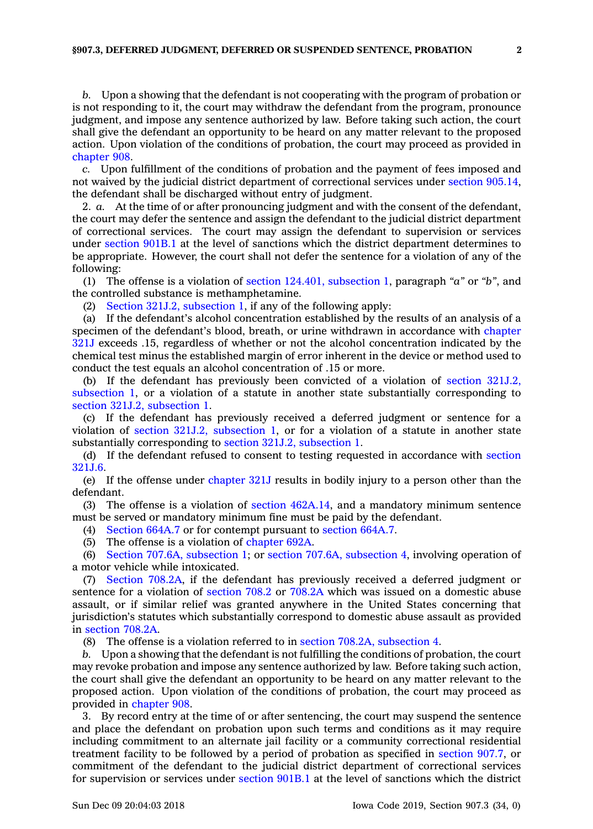*b.* Upon <sup>a</sup> showing that the defendant is not cooperating with the program of probation or is not responding to it, the court may withdraw the defendant from the program, pronounce judgment, and impose any sentence authorized by law. Before taking such action, the court shall give the defendant an opportunity to be heard on any matter relevant to the proposed action. Upon violation of the conditions of probation, the court may proceed as provided in [chapter](https://www.legis.iowa.gov/docs/code//908.pdf) 908.

*c.* Upon fulfillment of the conditions of probation and the payment of fees imposed and not waived by the judicial district department of correctional services under section [905.14](https://www.legis.iowa.gov/docs/code/905.14.pdf), the defendant shall be discharged without entry of judgment.

2. *a.* At the time of or after pronouncing judgment and with the consent of the defendant, the court may defer the sentence and assign the defendant to the judicial district department of correctional services. The court may assign the defendant to supervision or services under [section](https://www.legis.iowa.gov/docs/code/901B.1.pdf) 901B.1 at the level of sanctions which the district department determines to be appropriate. However, the court shall not defer the sentence for <sup>a</sup> violation of any of the following:

(1) The offense is <sup>a</sup> violation of section 124.401, [subsection](https://www.legis.iowa.gov/docs/code/124.401.pdf) 1, paragraph *"a"* or *"b"*, and the controlled substance is methamphetamine.

(2) Section 321J.2, [subsection](https://www.legis.iowa.gov/docs/code/321J.2.pdf) 1, if any of the following apply:

(a) If the defendant's alcohol concentration established by the results of an analysis of <sup>a</sup> specimen of the defendant's blood, breath, or urine withdrawn in accordance with [chapter](https://www.legis.iowa.gov/docs/code//321J.pdf) [321J](https://www.legis.iowa.gov/docs/code//321J.pdf) exceeds .15, regardless of whether or not the alcohol concentration indicated by the chemical test minus the established margin of error inherent in the device or method used to conduct the test equals an alcohol concentration of .15 or more.

(b) If the defendant has previously been convicted of <sup>a</sup> violation of section [321J.2,](https://www.legis.iowa.gov/docs/code/321J.2.pdf) [subsection](https://www.legis.iowa.gov/docs/code/321J.2.pdf) 1, or <sup>a</sup> violation of <sup>a</sup> statute in another state substantially corresponding to section 321J.2, [subsection](https://www.legis.iowa.gov/docs/code/321J.2.pdf) 1.

(c) If the defendant has previously received <sup>a</sup> deferred judgment or sentence for <sup>a</sup> violation of section 321J.2, [subsection](https://www.legis.iowa.gov/docs/code/321J.2.pdf) 1, or for <sup>a</sup> violation of <sup>a</sup> statute in another state substantially corresponding to section 321J.2, [subsection](https://www.legis.iowa.gov/docs/code/321J.2.pdf) 1.

(d) If the defendant refused to consent to testing requested in accordance with [section](https://www.legis.iowa.gov/docs/code/321J.6.pdf) [321J.6](https://www.legis.iowa.gov/docs/code/321J.6.pdf).

(e) If the offense under [chapter](https://www.legis.iowa.gov/docs/code//321J.pdf) 321J results in bodily injury to <sup>a</sup> person other than the defendant.

(3) The offense is <sup>a</sup> violation of section [462A.14](https://www.legis.iowa.gov/docs/code/462A.14.pdf), and <sup>a</sup> mandatory minimum sentence must be served or mandatory minimum fine must be paid by the defendant.

(4) [Section](https://www.legis.iowa.gov/docs/code/664A.7.pdf) 664A.7 or for contempt pursuant to [section](https://www.legis.iowa.gov/docs/code/664A.7.pdf) 664A.7.

(5) The offense is <sup>a</sup> violation of [chapter](https://www.legis.iowa.gov/docs/code//692A.pdf) 692A.

(6) Section 707.6A, [subsection](https://www.legis.iowa.gov/docs/code/707.6A.pdf) 1; or section 707.6A, [subsection](https://www.legis.iowa.gov/docs/code/707.6A.pdf) 4, involving operation of <sup>a</sup> motor vehicle while intoxicated.

(7) Section [708.2A](https://www.legis.iowa.gov/docs/code/708.2A.pdf), if the defendant has previously received <sup>a</sup> deferred judgment or sentence for <sup>a</sup> violation of [section](https://www.legis.iowa.gov/docs/code/708.2.pdf) 708.2 or [708.2A](https://www.legis.iowa.gov/docs/code/708.2A.pdf) which was issued on <sup>a</sup> domestic abuse assault, or if similar relief was granted anywhere in the United States concerning that jurisdiction's statutes which substantially correspond to domestic abuse assault as provided in [section](https://www.legis.iowa.gov/docs/code/708.2A.pdf) 708.2A.

(8) The offense is <sup>a</sup> violation referred to in section 708.2A, [subsection](https://www.legis.iowa.gov/docs/code/708.2A.pdf) 4.

*b.* Upon <sup>a</sup> showing that the defendant is not fulfilling the conditions of probation, the court may revoke probation and impose any sentence authorized by law. Before taking such action, the court shall give the defendant an opportunity to be heard on any matter relevant to the proposed action. Upon violation of the conditions of probation, the court may proceed as provided in [chapter](https://www.legis.iowa.gov/docs/code//908.pdf) 908.

3. By record entry at the time of or after sentencing, the court may suspend the sentence and place the defendant on probation upon such terms and conditions as it may require including commitment to an alternate jail facility or <sup>a</sup> community correctional residential treatment facility to be followed by <sup>a</sup> period of probation as specified in [section](https://www.legis.iowa.gov/docs/code/907.7.pdf) 907.7, or commitment of the defendant to the judicial district department of correctional services for supervision or services under [section](https://www.legis.iowa.gov/docs/code/901B.1.pdf) 901B.1 at the level of sanctions which the district